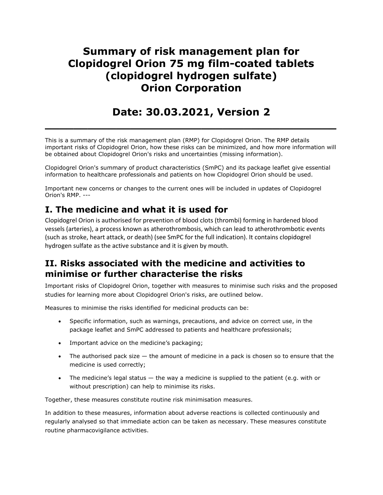# Summary of risk management plan for Clopidogrel Orion 75 mg film-coated tablets (clopidogrel hydrogen sulfate) Orion Corporation

# Date: 30.03.2021, Version 2

 $\overline{\phantom{a}}$  , and the contract of the contract of the contract of the contract of the contract of the contract of the contract of the contract of the contract of the contract of the contract of the contract of the contrac

This is a summary of the risk management plan (RMP) for Clopidogrel Orion. The RMP details important risks of Clopidogrel Orion, how these risks can be minimized, and how more information will be obtained about Clopidogrel Orion's risks and uncertainties (missing information).

Clopidogrel Orion's summary of product characteristics (SmPC) and its package leaflet give essential information to healthcare professionals and patients on how Clopidogrel Orion should be used.

Important new concerns or changes to the current ones will be included in updates of Clopidogrel Orion's RMP. ---

## I. The medicine and what it is used for

Clopidogrel Orion is authorised for prevention of blood clots (thrombi) forming in hardened blood vessels (arteries), a process known as atherothrombosis, which can lead to atherothrombotic events (such as stroke, heart attack, or death) (see SmPC for the full indication). It contains clopidogrel hydrogen sulfate as the active substance and it is given by mouth.

## II. Risks associated with the medicine and activities to minimise or further characterise the risks

Important risks of Clopidogrel Orion, together with measures to minimise such risks and the proposed studies for learning more about Clopidogrel Orion's risks, are outlined below.

Measures to minimise the risks identified for medicinal products can be:

- Specific information, such as warnings, precautions, and advice on correct use, in the package leaflet and SmPC addressed to patients and healthcare professionals;
- Important advice on the medicine's packaging;
- $\bullet$  The authorised pack size  $-$  the amount of medicine in a pack is chosen so to ensure that the medicine is used correctly;
- The medicine's legal status the way a medicine is supplied to the patient (e.g. with or without prescription) can help to minimise its risks.

Together, these measures constitute routine risk minimisation measures.

In addition to these measures, information about adverse reactions is collected continuously and regularly analysed so that immediate action can be taken as necessary. These measures constitute routine pharmacovigilance activities.